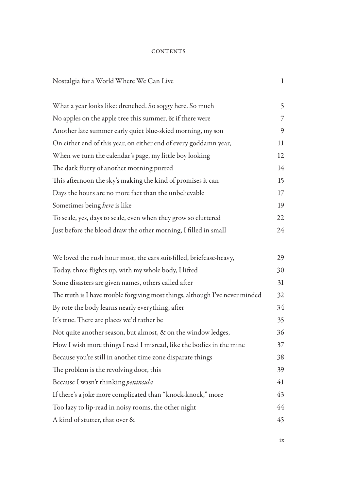## **CONTENTS**

## Nostalgia for a World Where We Can Live 1 What a year looks like: drenched. So soggy here. So much 5 No apples on the apple tree this summer,  $\&$  if there were  $7$ Another late summer early quiet blue-skied morning, my son 9 On either end of this year, on either end of every goddamn year, 11 When we turn the calendar's page, my little boy looking 12 The dark flurry of another morning purred 14 This afternoon the sky's making the kind of promises it can 15 Days the hours are no more fact than the unbelievable 17 Sometimes being *here* is like 19 To scale, yes, days to scale, even when they grow so cluttered 22 Just before the blood draw the other morning, I filled in small 24 We loved the rush hour most, the cars suit-filled, briefcase-heavy, 29 Today, three flights up, with my whole body, I lifted 30 Some disasters are given names, others called after 31 The truth is I have trouble forgiving most things, although I've never minded 32 By rote the body learns nearly everything, after 34 It's true. There are places we'd rather be 35 Not quite another season, but almost, & on the window ledges, 36

How I wish more things I read I misread, like the bodies in the mine  $37$ Because you're still in another time zone disparate things 38 The problem is the revolving door, this 39 Because I wasn't thinking *peninsula* 41 If there's a joke more complicated than "knock-knock," more 43 Too lazy to lip-read in noisy rooms, the other night 44 A kind of stutter, that over & 45